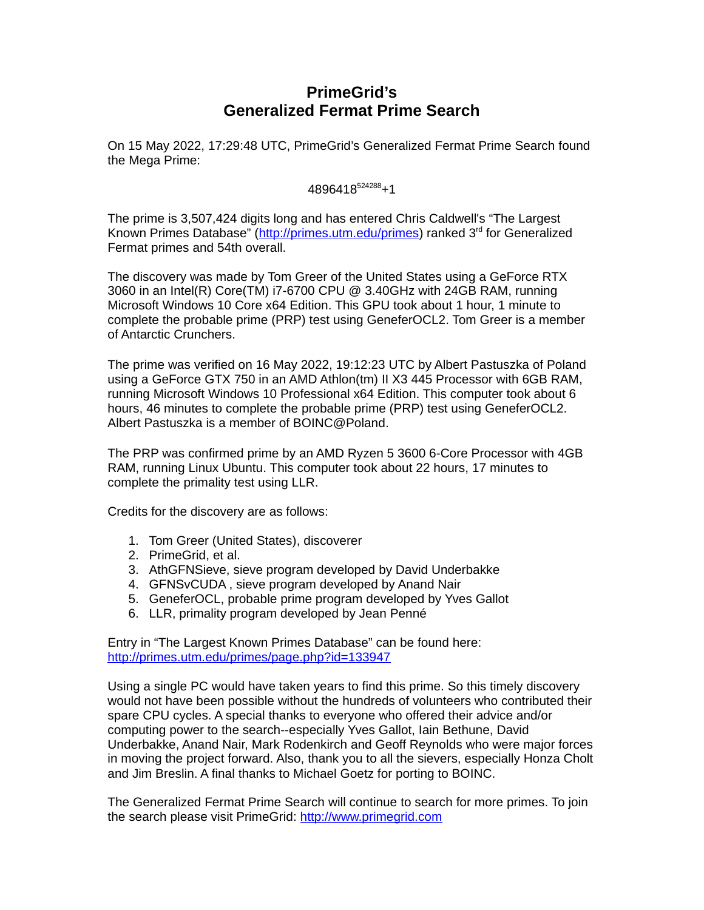# **PrimeGrid's Generalized Fermat Prime Search**

On 15 May 2022, 17:29:48 UTC, PrimeGrid's Generalized Fermat Prime Search found the Mega Prime:

### 4896418<sup>524288</sup>+1

The prime is 3,507,424 digits long and has entered Chris Caldwell's "The Largest Known Primes Database" [\(http://primes.utm.edu/primes\)](http://primes.utm.edu/primes) ranked 3<sup>rd</sup> for Generalized Fermat primes and 54th overall.

The discovery was made by Tom Greer of the United States using a GeForce RTX 3060 in an Intel(R) Core(TM) i7-6700 CPU @ 3.40GHz with 24GB RAM, running Microsoft Windows 10 Core x64 Edition. This GPU took about 1 hour, 1 minute to complete the probable prime (PRP) test using GeneferOCL2. Tom Greer is a member of Antarctic Crunchers.

The prime was verified on 16 May 2022, 19:12:23 UTC by Albert Pastuszka of Poland using a GeForce GTX 750 in an AMD Athlon(tm) II X3 445 Processor with 6GB RAM, running Microsoft Windows 10 Professional x64 Edition. This computer took about 6 hours, 46 minutes to complete the probable prime (PRP) test using GeneferOCL2. Albert Pastuszka is a member of BOINC@Poland.

The PRP was confirmed prime by an AMD Ryzen 5 3600 6-Core Processor with 4GB RAM, running Linux Ubuntu. This computer took about 22 hours, 17 minutes to complete the primality test using LLR.

Credits for the discovery are as follows:

- 1. Tom Greer (United States), discoverer
- 2. PrimeGrid, et al.
- 3. AthGFNSieve, sieve program developed by David Underbakke
- 4. GFNSvCUDA , sieve program developed by Anand Nair
- 5. GeneferOCL, probable prime program developed by Yves Gallot
- 6. LLR, primality program developed by Jean Penné

Entry in "The Largest Known Primes Database" can be found here: <http://primes.utm.edu/primes/page.php?id=133947>

Using a single PC would have taken years to find this prime. So this timely discovery would not have been possible without the hundreds of volunteers who contributed their spare CPU cycles. A special thanks to everyone who offered their advice and/or computing power to the search--especially Yves Gallot, Iain Bethune, David Underbakke, Anand Nair, Mark Rodenkirch and Geoff Reynolds who were major forces in moving the project forward. Also, thank you to all the sievers, especially Honza Cholt and Jim Breslin. A final thanks to Michael Goetz for porting to BOINC.

The Generalized Fermat Prime Search will continue to search for more primes. To join the search please visit PrimeGrid: [http://www.primegrid.com](http://www.primegrid.com/)